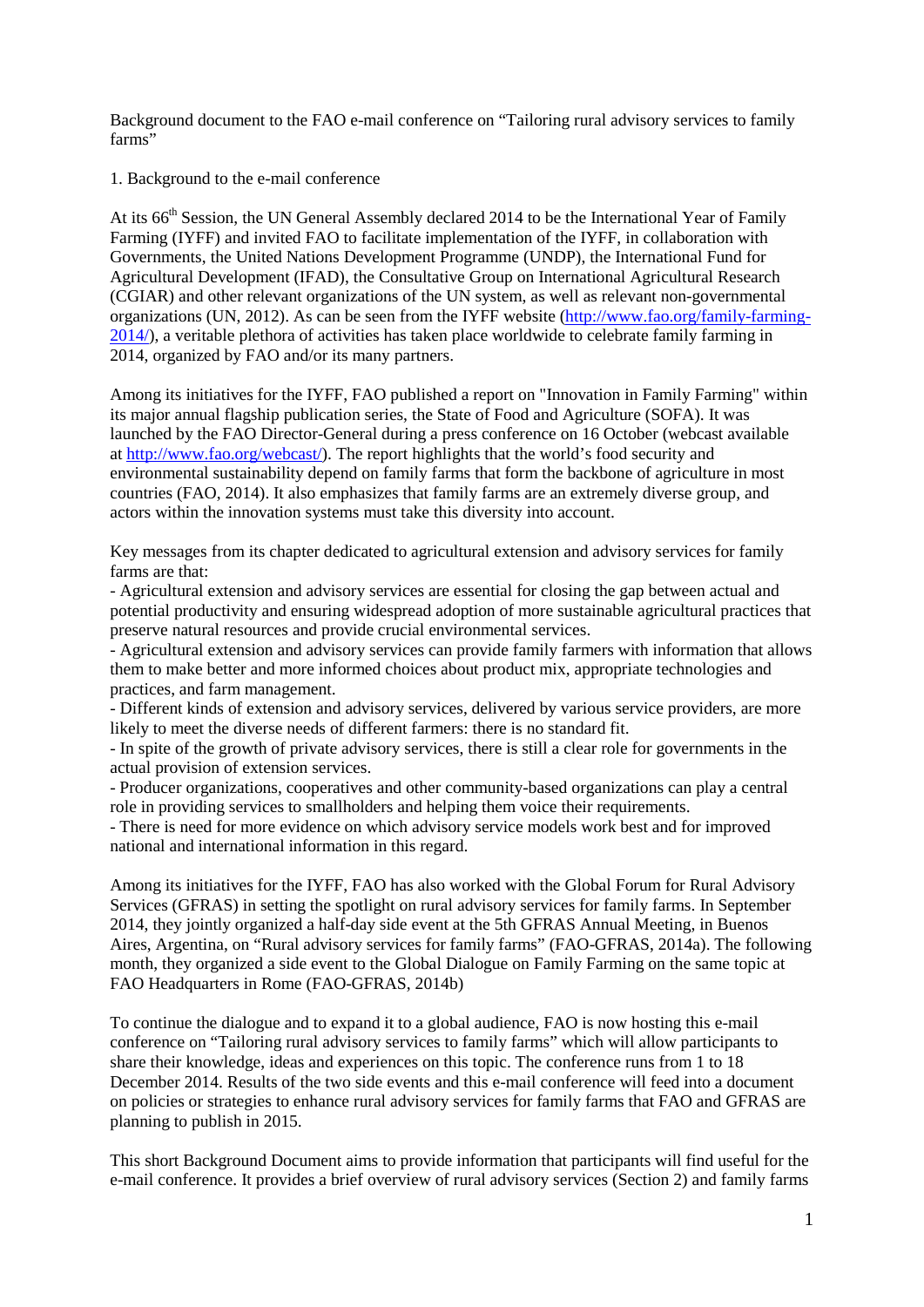Background document to the FAO e-mail conference on "Tailoring rural advisory services to family farms"

1. Background to the e-mail conference

At its 66<sup>th</sup> Session, the UN General Assembly declared 2014 to be the International Year of Family Farming (IYFF) and invited FAO to facilitate implementation of the IYFF, in collaboration with Governments, the United Nations Development Programme (UNDP), the International Fund for Agricultural Development (IFAD), the Consultative Group on International Agricultural Research (CGIAR) and other relevant organizations of the UN system, as well as relevant non-governmental organizations (UN, 2012). As can be seen from the IYFF website [\(http://www.fao.org/family-farming-](http://www.fao.org/family-farming-2014/)[2014/\)](http://www.fao.org/family-farming-2014/), a veritable plethora of activities has taken place worldwide to celebrate family farming in 2014, organized by FAO and/or its many partners.

Among its initiatives for the IYFF, FAO published a report on "Innovation in Family Farming" within its major annual flagship publication series, the State of Food and Agriculture (SOFA). It was launched by the FAO Director-General during a press conference on 16 October (webcast available at [http://www.fao.org/webcast/\)](http://www.fao.org/webcast/). The report highlights that the world's food security and environmental sustainability depend on family farms that form the backbone of agriculture in most countries (FAO, 2014). It also emphasizes that family farms are an extremely diverse group, and actors within the innovation systems must take this diversity into account.

Key messages from its chapter dedicated to agricultural extension and advisory services for family farms are that:

- Agricultural extension and advisory services are essential for closing the gap between actual and potential productivity and ensuring widespread adoption of more sustainable agricultural practices that preserve natural resources and provide crucial environmental services.

- Agricultural extension and advisory services can provide family farmers with information that allows them to make better and more informed choices about product mix, appropriate technologies and practices, and farm management.

- Different kinds of extension and advisory services, delivered by various service providers, are more likely to meet the diverse needs of different farmers: there is no standard fit.

- In spite of the growth of private advisory services, there is still a clear role for governments in the actual provision of extension services.

- Producer organizations, cooperatives and other community-based organizations can play a central role in providing services to smallholders and helping them voice their requirements.

- There is need for more evidence on which advisory service models work best and for improved national and international information in this regard.

Among its initiatives for the IYFF, FAO has also worked with the Global Forum for Rural Advisory Services (GFRAS) in setting the spotlight on rural advisory services for family farms. In September 2014, they jointly organized a half-day side event at the 5th GFRAS Annual Meeting, in Buenos Aires, Argentina, on "Rural advisory services for family farms" (FAO-GFRAS, 2014a). The following month, they organized a side event to the Global Dialogue on Family Farming on the same topic at FAO Headquarters in Rome (FAO-GFRAS, 2014b)

To continue the dialogue and to expand it to a global audience, FAO is now hosting this e-mail conference on "Tailoring rural advisory services to family farms" which will allow participants to share their knowledge, ideas and experiences on this topic. The conference runs from 1 to 18 December 2014. Results of the two side events and this e-mail conference will feed into a document on policies or strategies to enhance rural advisory services for family farms that FAO and GFRAS are planning to publish in 2015.

This short Background Document aims to provide information that participants will find useful for the e-mail conference. It provides a brief overview of rural advisory services (Section 2) and family farms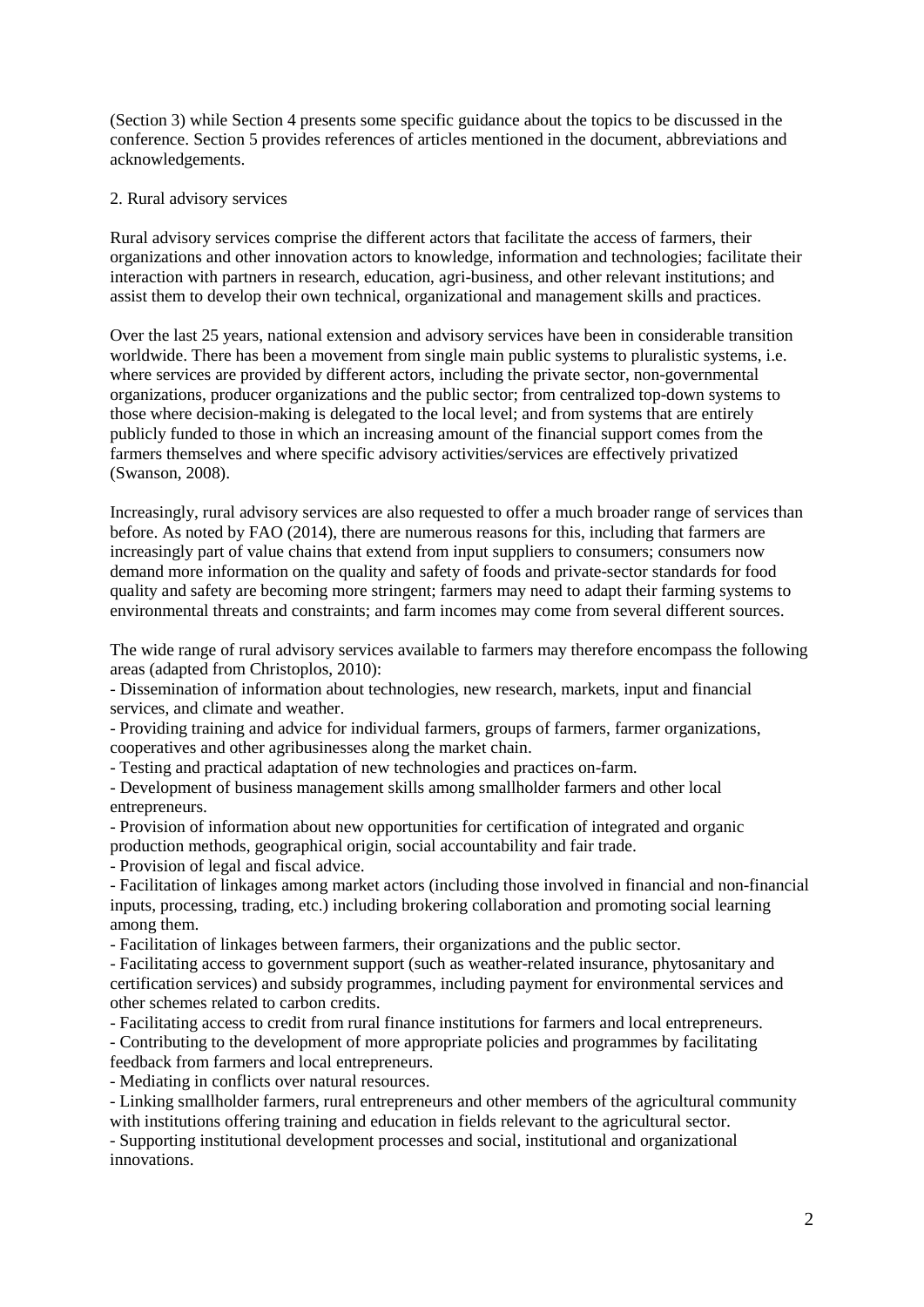(Section 3) while Section 4 presents some specific guidance about the topics to be discussed in the conference. Section 5 provides references of articles mentioned in the document, abbreviations and acknowledgements.

## 2. Rural advisory services

Rural advisory services comprise the different actors that facilitate the access of farmers, their organizations and other innovation actors to knowledge, information and technologies; facilitate their interaction with partners in research, education, agri-business, and other relevant institutions; and assist them to develop their own technical, organizational and management skills and practices.

Over the last 25 years, national extension and advisory services have been in considerable transition worldwide. There has been a movement from single main public systems to pluralistic systems, i.e. where services are provided by different actors, including the private sector, non-governmental organizations, producer organizations and the public sector; from centralized top-down systems to those where decision-making is delegated to the local level; and from systems that are entirely publicly funded to those in which an increasing amount of the financial support comes from the farmers themselves and where specific advisory activities/services are effectively privatized (Swanson, 2008).

Increasingly, rural advisory services are also requested to offer a much broader range of services than before. As noted by FAO (2014), there are numerous reasons for this, including that farmers are increasingly part of value chains that extend from input suppliers to consumers; consumers now demand more information on the quality and safety of foods and private-sector standards for food quality and safety are becoming more stringent; farmers may need to adapt their farming systems to environmental threats and constraints; and farm incomes may come from several different sources.

The wide range of rural advisory services available to farmers may therefore encompass the following areas (adapted from Christoplos, 2010):

- Dissemination of information about technologies, new research, markets, input and financial services, and climate and weather.

- Providing training and advice for individual farmers, groups of farmers, farmer organizations, cooperatives and other agribusinesses along the market chain.

- Testing and practical adaptation of new technologies and practices on-farm.

- Development of business management skills among smallholder farmers and other local entrepreneurs.

- Provision of information about new opportunities for certification of integrated and organic production methods, geographical origin, social accountability and fair trade.

- Provision of legal and fiscal advice.

- Facilitation of linkages among market actors (including those involved in financial and non-financial inputs, processing, trading, etc.) including brokering collaboration and promoting social learning among them.

- Facilitation of linkages between farmers, their organizations and the public sector.

- Facilitating access to government support (such as weather-related insurance, phytosanitary and certification services) and subsidy programmes, including payment for environmental services and other schemes related to carbon credits.

- Facilitating access to credit from rural finance institutions for farmers and local entrepreneurs.

- Contributing to the development of more appropriate policies and programmes by facilitating feedback from farmers and local entrepreneurs.

- Mediating in conflicts over natural resources.

- Linking smallholder farmers, rural entrepreneurs and other members of the agricultural community with institutions offering training and education in fields relevant to the agricultural sector.

- Supporting institutional development processes and social, institutional and organizational innovations.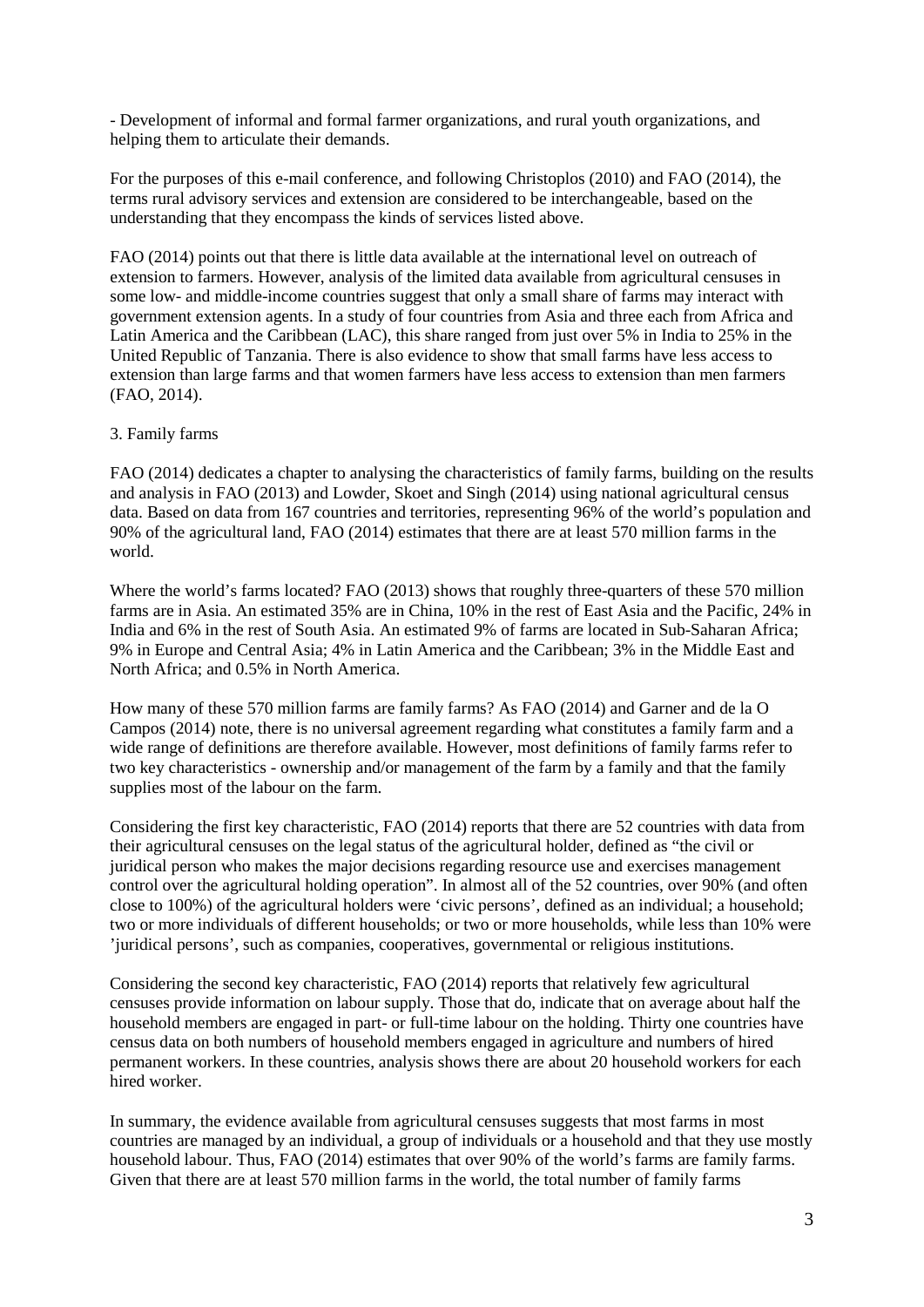- Development of informal and formal farmer organizations, and rural youth organizations, and helping them to articulate their demands.

For the purposes of this e-mail conference, and following Christoplos (2010) and FAO (2014), the terms rural advisory services and extension are considered to be interchangeable, based on the understanding that they encompass the kinds of services listed above.

FAO (2014) points out that there is little data available at the international level on outreach of extension to farmers. However, analysis of the limited data available from agricultural censuses in some low- and middle-income countries suggest that only a small share of farms may interact with government extension agents. In a study of four countries from Asia and three each from Africa and Latin America and the Caribbean (LAC), this share ranged from just over 5% in India to 25% in the United Republic of Tanzania. There is also evidence to show that small farms have less access to extension than large farms and that women farmers have less access to extension than men farmers (FAO, 2014).

## 3. Family farms

FAO (2014) dedicates a chapter to analysing the characteristics of family farms, building on the results and analysis in FAO (2013) and Lowder, Skoet and Singh (2014) using national agricultural census data. Based on data from 167 countries and territories, representing 96% of the world's population and 90% of the agricultural land, FAO (2014) estimates that there are at least 570 million farms in the world.

Where the world's farms located? FAO (2013) shows that roughly three-quarters of these 570 million farms are in Asia. An estimated 35% are in China, 10% in the rest of East Asia and the Pacific, 24% in India and 6% in the rest of South Asia. An estimated 9% of farms are located in Sub-Saharan Africa; 9% in Europe and Central Asia; 4% in Latin America and the Caribbean; 3% in the Middle East and North Africa; and 0.5% in North America.

How many of these 570 million farms are family farms? As FAO (2014) and Garner and de la O Campos (2014) note, there is no universal agreement regarding what constitutes a family farm and a wide range of definitions are therefore available. However, most definitions of family farms refer to two key characteristics - ownership and/or management of the farm by a family and that the family supplies most of the labour on the farm.

Considering the first key characteristic, FAO (2014) reports that there are 52 countries with data from their agricultural censuses on the legal status of the agricultural holder, defined as "the civil or juridical person who makes the major decisions regarding resource use and exercises management control over the agricultural holding operation". In almost all of the 52 countries, over 90% (and often close to 100%) of the agricultural holders were 'civic persons', defined as an individual; a household; two or more individuals of different households; or two or more households, while less than 10% were 'juridical persons', such as companies, cooperatives, governmental or religious institutions.

Considering the second key characteristic, FAO (2014) reports that relatively few agricultural censuses provide information on labour supply. Those that do, indicate that on average about half the household members are engaged in part- or full-time labour on the holding. Thirty one countries have census data on both numbers of household members engaged in agriculture and numbers of hired permanent workers. In these countries, analysis shows there are about 20 household workers for each hired worker.

In summary, the evidence available from agricultural censuses suggests that most farms in most countries are managed by an individual, a group of individuals or a household and that they use mostly household labour. Thus, FAO (2014) estimates that over 90% of the world's farms are family farms. Given that there are at least 570 million farms in the world, the total number of family farms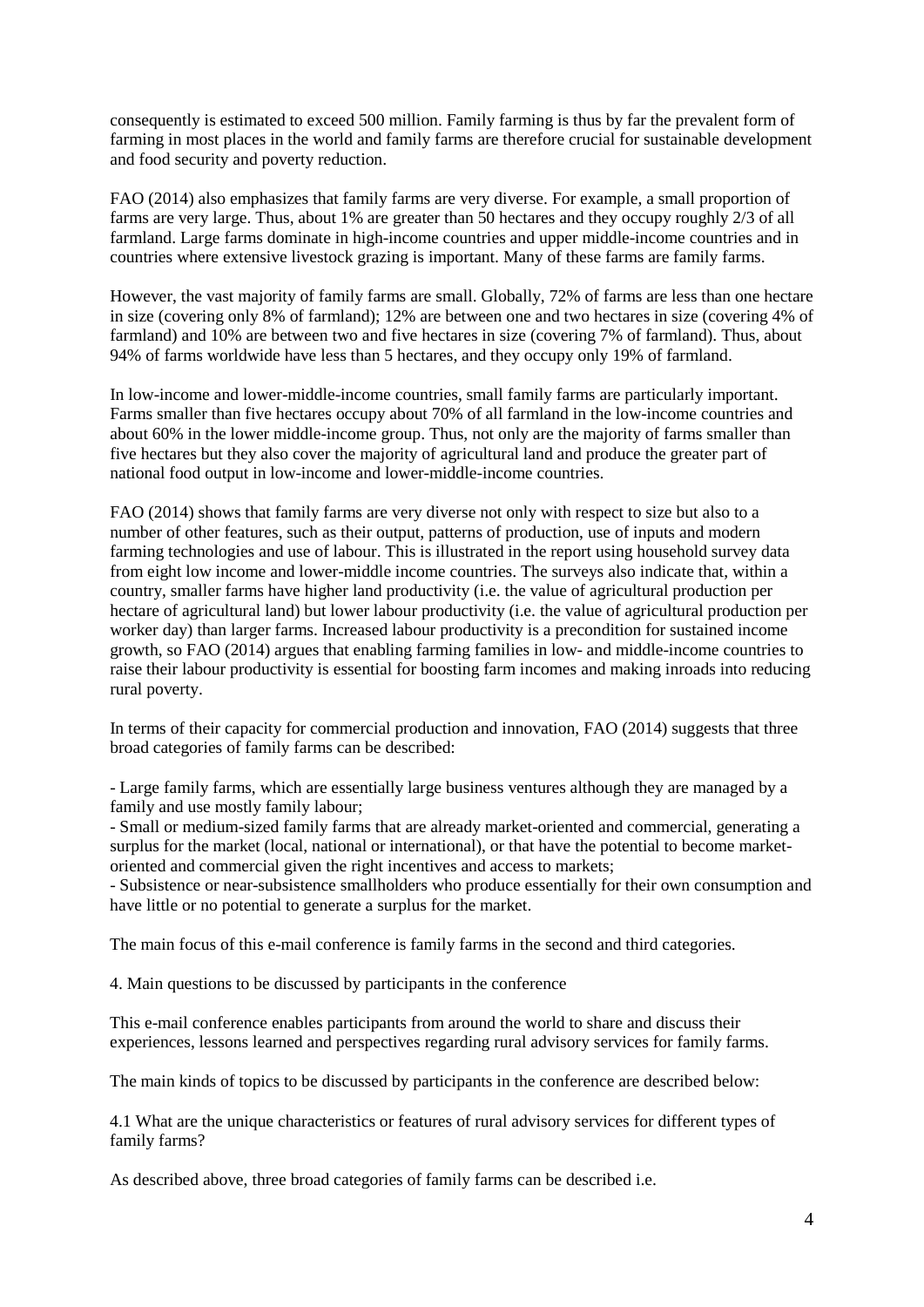consequently is estimated to exceed 500 million. Family farming is thus by far the prevalent form of farming in most places in the world and family farms are therefore crucial for sustainable development and food security and poverty reduction.

FAO (2014) also emphasizes that family farms are very diverse. For example, a small proportion of farms are very large. Thus, about 1% are greater than 50 hectares and they occupy roughly 2/3 of all farmland. Large farms dominate in high-income countries and upper middle-income countries and in countries where extensive livestock grazing is important. Many of these farms are family farms.

However, the vast majority of family farms are small. Globally, 72% of farms are less than one hectare in size (covering only 8% of farmland); 12% are between one and two hectares in size (covering 4% of farmland) and 10% are between two and five hectares in size (covering 7% of farmland). Thus, about 94% of farms worldwide have less than 5 hectares, and they occupy only 19% of farmland.

In low-income and lower-middle-income countries, small family farms are particularly important. Farms smaller than five hectares occupy about 70% of all farmland in the low-income countries and about 60% in the lower middle-income group. Thus, not only are the majority of farms smaller than five hectares but they also cover the majority of agricultural land and produce the greater part of national food output in low-income and lower-middle-income countries.

FAO (2014) shows that family farms are very diverse not only with respect to size but also to a number of other features, such as their output, patterns of production, use of inputs and modern farming technologies and use of labour. This is illustrated in the report using household survey data from eight low income and lower-middle income countries. The surveys also indicate that, within a country, smaller farms have higher land productivity (i.e. the value of agricultural production per hectare of agricultural land) but lower labour productivity (i.e. the value of agricultural production per worker day) than larger farms. Increased labour productivity is a precondition for sustained income growth, so FAO (2014) argues that enabling farming families in low- and middle-income countries to raise their labour productivity is essential for boosting farm incomes and making inroads into reducing rural poverty.

In terms of their capacity for commercial production and innovation, FAO (2014) suggests that three broad categories of family farms can be described:

- Large family farms, which are essentially large business ventures although they are managed by a family and use mostly family labour;

- Small or medium-sized family farms that are already market-oriented and commercial, generating a surplus for the market (local, national or international), or that have the potential to become marketoriented and commercial given the right incentives and access to markets;

- Subsistence or near-subsistence smallholders who produce essentially for their own consumption and have little or no potential to generate a surplus for the market.

The main focus of this e-mail conference is family farms in the second and third categories.

4. Main questions to be discussed by participants in the conference

This e-mail conference enables participants from around the world to share and discuss their experiences, lessons learned and perspectives regarding rural advisory services for family farms.

The main kinds of topics to be discussed by participants in the conference are described below:

4.1 What are the unique characteristics or features of rural advisory services for different types of family farms?

As described above, three broad categories of family farms can be described i.e.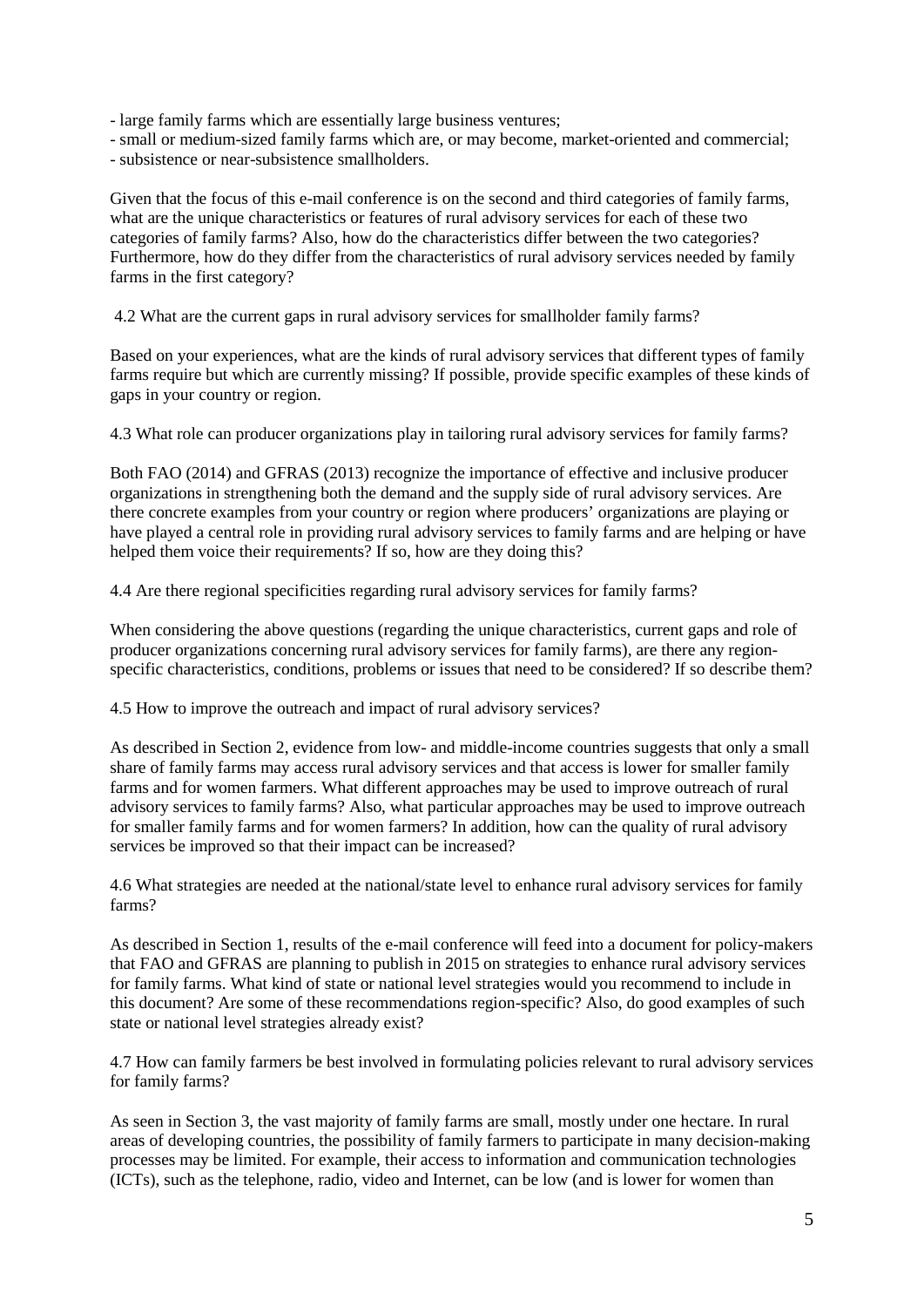- large family farms which are essentially large business ventures;

- small or medium-sized family farms which are, or may become, market-oriented and commercial;

- subsistence or near-subsistence smallholders.

Given that the focus of this e-mail conference is on the second and third categories of family farms, what are the unique characteristics or features of rural advisory services for each of these two categories of family farms? Also, how do the characteristics differ between the two categories? Furthermore, how do they differ from the characteristics of rural advisory services needed by family farms in the first category?

4.2 What are the current gaps in rural advisory services for smallholder family farms?

Based on your experiences, what are the kinds of rural advisory services that different types of family farms require but which are currently missing? If possible, provide specific examples of these kinds of gaps in your country or region.

4.3 What role can producer organizations play in tailoring rural advisory services for family farms?

Both FAO (2014) and GFRAS (2013) recognize the importance of effective and inclusive producer organizations in strengthening both the demand and the supply side of rural advisory services. Are there concrete examples from your country or region where producers' organizations are playing or have played a central role in providing rural advisory services to family farms and are helping or have helped them voice their requirements? If so, how are they doing this?

4.4 Are there regional specificities regarding rural advisory services for family farms?

When considering the above questions (regarding the unique characteristics, current gaps and role of producer organizations concerning rural advisory services for family farms), are there any regionspecific characteristics, conditions, problems or issues that need to be considered? If so describe them?

4.5 How to improve the outreach and impact of rural advisory services?

As described in Section 2, evidence from low- and middle-income countries suggests that only a small share of family farms may access rural advisory services and that access is lower for smaller family farms and for women farmers. What different approaches may be used to improve outreach of rural advisory services to family farms? Also, what particular approaches may be used to improve outreach for smaller family farms and for women farmers? In addition, how can the quality of rural advisory services be improved so that their impact can be increased?

4.6 What strategies are needed at the national/state level to enhance rural advisory services for family farms?

As described in Section 1, results of the e-mail conference will feed into a document for policy-makers that FAO and GFRAS are planning to publish in 2015 on strategies to enhance rural advisory services for family farms. What kind of state or national level strategies would you recommend to include in this document? Are some of these recommendations region-specific? Also, do good examples of such state or national level strategies already exist?

4.7 How can family farmers be best involved in formulating policies relevant to rural advisory services for family farms?

As seen in Section 3, the vast majority of family farms are small, mostly under one hectare. In rural areas of developing countries, the possibility of family farmers to participate in many decision-making processes may be limited. For example, their access to information and communication technologies (ICTs), such as the telephone, radio, video and Internet, can be low (and is lower for women than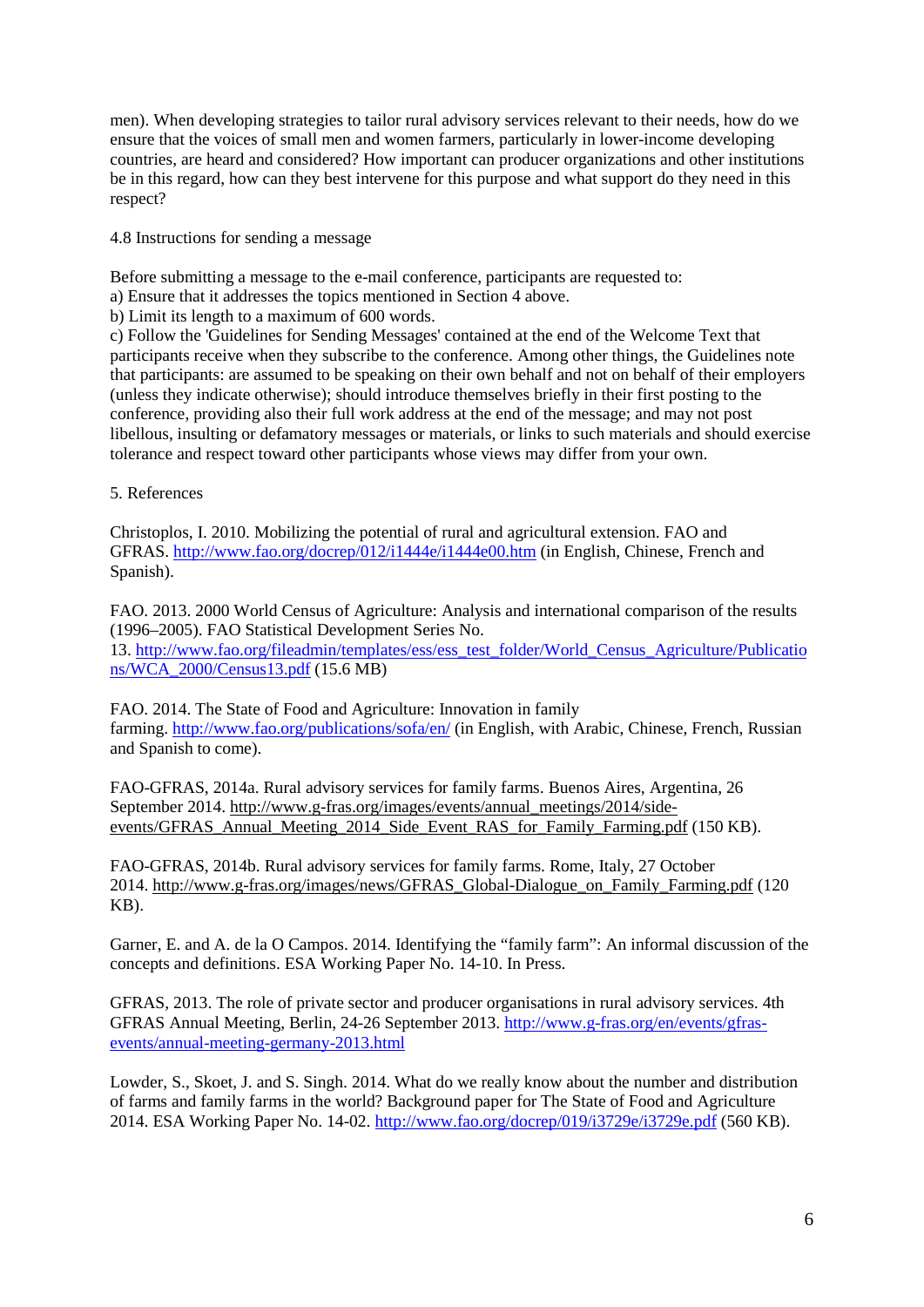men). When developing strategies to tailor rural advisory services relevant to their needs, how do we ensure that the voices of small men and women farmers, particularly in lower-income developing countries, are heard and considered? How important can producer organizations and other institutions be in this regard, how can they best intervene for this purpose and what support do they need in this respect?

4.8 Instructions for sending a message

Before submitting a message to the e-mail conference, participants are requested to:

a) Ensure that it addresses the topics mentioned in Section 4 above.

b) Limit its length to a maximum of 600 words.

c) Follow the 'Guidelines for Sending Messages' contained at the end of the Welcome Text that participants receive when they subscribe to the conference. Among other things, the Guidelines note that participants: are assumed to be speaking on their own behalf and not on behalf of their employers (unless they indicate otherwise); should introduce themselves briefly in their first posting to the conference, providing also their full work address at the end of the message; and may not post libellous, insulting or defamatory messages or materials, or links to such materials and should exercise tolerance and respect toward other participants whose views may differ from your own.

5. References

Christoplos, I. 2010. Mobilizing the potential of rural and agricultural extension. FAO and GFRAS.<http://www.fao.org/docrep/012/i1444e/i1444e00.htm> (in English, Chinese, French and Spanish).

FAO. 2013. 2000 World Census of Agriculture: Analysis and international comparison of the results (1996–2005). FAO Statistical Development Series No. 13. [http://www.fao.org/fileadmin/templates/ess/ess\\_test\\_folder/World\\_Census\\_Agriculture/Publicatio](http://www.fao.org/fileadmin/templates/ess/ess_test_folder/World_Census_Agriculture/Publications/WCA_2000/Census13.pdf) [ns/WCA\\_2000/Census13.pdf](http://www.fao.org/fileadmin/templates/ess/ess_test_folder/World_Census_Agriculture/Publications/WCA_2000/Census13.pdf) (15.6 MB)

FAO. 2014. The State of Food and Agriculture: Innovation in family farming. <http://www.fao.org/publications/sofa/en/> (in English, with Arabic, Chinese, French, Russian and Spanish to come).

FAO-GFRAS, 2014a. Rural advisory services for family farms. Buenos Aires, Argentina, 26 September 2014. [http://www.g-fras.org/images/events/annual\\_meetings/2014/side](http://www.g-fras.org/images/events/annual_meetings/2014/side-events/GFRAS_Annual_Meeting_2014_Side_Event_RAS_for_Family_Farming.pdf)[events/GFRAS\\_Annual\\_Meeting\\_2014\\_Side\\_Event\\_RAS\\_for\\_Family\\_Farming.pdf](http://www.g-fras.org/images/events/annual_meetings/2014/side-events/GFRAS_Annual_Meeting_2014_Side_Event_RAS_for_Family_Farming.pdf) (150 KB).

FAO-GFRAS, 2014b. Rural advisory services for family farms. Rome, Italy, 27 October 2014. [http://www.g-fras.org/images/news/GFRAS\\_Global-Dialogue\\_on\\_Family\\_Farming.pdf](http://www.g-fras.org/images/news/GFRAS_Global-Dialogue_on_Family_Farming.pdf) (120 KB).

Garner, E. and A. de la O Campos. 2014. Identifying the "family farm": An informal discussion of the concepts and definitions. ESA Working Paper No. 14-10. In Press.

GFRAS, 2013. The role of private sector and producer organisations in rural advisory services. 4th GFRAS Annual Meeting, Berlin, 24-26 September 2013. [http://www.g-fras.org/en/events/gfras](http://www.g-fras.org/en/events/gfras-events/annual-meeting-germany-2013.html)[events/annual-meeting-germany-2013.html](http://www.g-fras.org/en/events/gfras-events/annual-meeting-germany-2013.html)

Lowder, S., Skoet, J. and S. Singh. 2014. What do we really know about the number and distribution of farms and family farms in the world? Background paper for The State of Food and Agriculture 2014. ESA Working Paper No. 14-02. <http://www.fao.org/docrep/019/i3729e/i3729e.pdf> (560 KB).